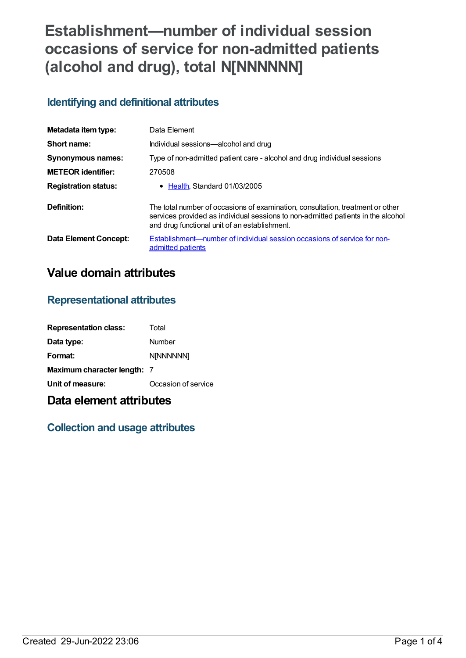# **Establishment—number of individual session occasions of service for non-admitted patients (alcohol and drug), total N[NNNNNN]**

## **Identifying and definitional attributes**

| Metadata item type:          | Data Element                                                                                                                                                                                                        |
|------------------------------|---------------------------------------------------------------------------------------------------------------------------------------------------------------------------------------------------------------------|
| Short name:                  | Individual sessions-alcohol and drug                                                                                                                                                                                |
| <b>Synonymous names:</b>     | Type of non-admitted patient care - alcohol and drug individual sessions                                                                                                                                            |
| <b>METEOR identifier:</b>    | 270508                                                                                                                                                                                                              |
| <b>Registration status:</b>  | • Health, Standard 01/03/2005                                                                                                                                                                                       |
| Definition:                  | The total number of occasions of examination, consultation, treatment or other<br>services provided as individual sessions to non-admitted patients in the alcohol<br>and drug functional unit of an establishment. |
| <b>Data Element Concept:</b> | Establishment—number of individual session occasions of service for non-<br>admitted patients                                                                                                                       |

# **Value domain attributes**

#### **Representational attributes**

| <b>Representation class:</b> | Total               |
|------------------------------|---------------------|
| Data type:                   | Number              |
| Format:                      | <b>N[NNNNNN]</b>    |
| Maximum character length: 7  |                     |
| Unit of measure:             | Occasion of service |

# **Data element attributes**

## **Collection and usage attributes**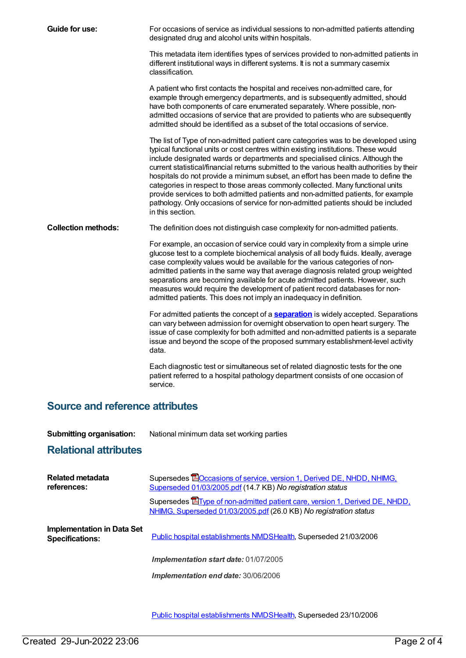| Guide for use:             | For occasions of service as individual sessions to non-admitted patients attending<br>designated drug and alcohol units within hospitals.                                                                                                                                                                                                                                                                                                                                                                                                                                                                                                                                                                                   |
|----------------------------|-----------------------------------------------------------------------------------------------------------------------------------------------------------------------------------------------------------------------------------------------------------------------------------------------------------------------------------------------------------------------------------------------------------------------------------------------------------------------------------------------------------------------------------------------------------------------------------------------------------------------------------------------------------------------------------------------------------------------------|
|                            | This metadata item identifies types of services provided to non-admitted patients in<br>different institutional ways in different systems. It is not a summary casemix<br>classification.                                                                                                                                                                                                                                                                                                                                                                                                                                                                                                                                   |
|                            | A patient who first contacts the hospital and receives non-admitted care, for<br>example through emergency departments, and is subsequently admitted, should<br>have both components of care enumerated separately. Where possible, non-<br>admitted occasions of service that are provided to patients who are subsequently<br>admitted should be identified as a subset of the total occasions of service.                                                                                                                                                                                                                                                                                                                |
|                            | The list of Type of non-admitted patient care categories was to be developed using<br>typical functional units or cost centres within existing institutions. These would<br>include designated wards or departments and specialised clinics. Although the<br>current statistical/financial returns submitted to the various health authorities by their<br>hospitals do not provide a minimum subset, an effort has been made to define the<br>categories in respect to those areas commonly collected. Many functional units<br>provide services to both admitted patients and non-admitted patients, for example<br>pathology. Only occasions of service for non-admitted patients should be included<br>in this section. |
| <b>Collection methods:</b> | The definition does not distinguish case complexity for non-admitted patients.                                                                                                                                                                                                                                                                                                                                                                                                                                                                                                                                                                                                                                              |
|                            | For example, an occasion of service could vary in complexity from a simple urine<br>glucose test to a complete biochemical analysis of all body fluids. Ideally, average<br>case complexity values would be available for the various categories of non-<br>admitted patients in the same way that average diagnosis related group weighted<br>separations are becoming available for acute admitted patients. However, such<br>measures would require the development of patient record databases for non-<br>admitted patients. This does not imply an inadequacy in definition.                                                                                                                                          |
|                            | For admitted patients the concept of a <b>separation</b> is widely accepted. Separations<br>can vary between admission for overnight observation to open heart surgery. The<br>issue of case complexity for both admitted and non-admitted patients is a separate<br>issue and beyond the scope of the proposed summary establishment-level activity<br>data.                                                                                                                                                                                                                                                                                                                                                               |
|                            | Each diagnostic test or simultaneous set of related diagnostic tests for the one<br>patient referred to a hospital pathology department consists of one occasion of<br>service.                                                                                                                                                                                                                                                                                                                                                                                                                                                                                                                                             |

# **Source and reference attributes**

| <b>Submitting organisation:</b> | National minimum data set working parties |
|---------------------------------|-------------------------------------------|
|---------------------------------|-------------------------------------------|

#### **Relational attributes**

| Related metadata<br>references:                      | Supersedes <b>EO</b> ccasions of service, version 1, Derived DE, NHDD, NHIMG,<br>Superseded 01/03/2005.pdf (14.7 KB) No registration status              |
|------------------------------------------------------|----------------------------------------------------------------------------------------------------------------------------------------------------------|
|                                                      | Supersedes <b>E</b> Type of non-admitted patient care, version 1, Derived DE, NHDD,<br>NHIMG, Superseded 01/03/2005.pdf (26.0 KB) No registration status |
| Implementation in Data Set<br><b>Specifications:</b> | Public hospital establishments NMDSHealth, Superseded 21/03/2006                                                                                         |
|                                                      | Implementation start date: 01/07/2005                                                                                                                    |
|                                                      | Implementation end date: 30/06/2006                                                                                                                      |

Public hospital [establishments](https://meteor.aihw.gov.au/content/334285) NMDS[Health](https://meteor.aihw.gov.au/RegistrationAuthority/12), Superseded 23/10/2006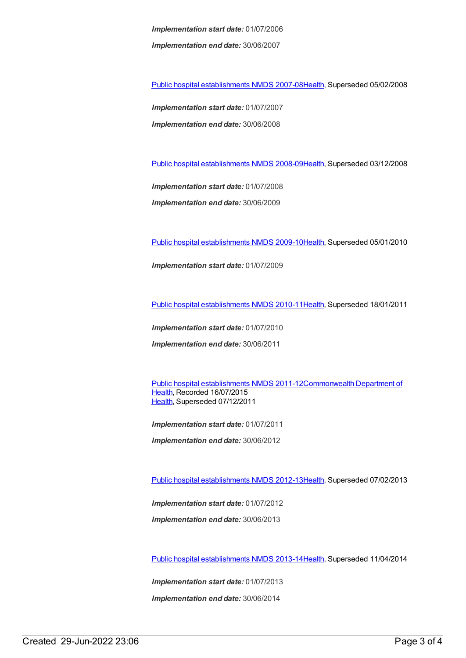*Implementation start date:* 01/07/2006 *Implementation end date:* 30/06/2007

Public hospital [establishments](https://meteor.aihw.gov.au/content/345139) NMDS 2007-08[Health](https://meteor.aihw.gov.au/RegistrationAuthority/12), Superseded 05/02/2008

*Implementation start date:* 01/07/2007 *Implementation end date:* 30/06/2008

Public hospital [establishments](https://meteor.aihw.gov.au/content/362302) NMDS 2008-09[Health](https://meteor.aihw.gov.au/RegistrationAuthority/12), Superseded 03/12/2008

*Implementation start date:* 01/07/2008 *Implementation end date:* 30/06/2009

Public hospital [establishments](https://meteor.aihw.gov.au/content/374924) NMDS 2009-10[Health](https://meteor.aihw.gov.au/RegistrationAuthority/12), Superseded 05/01/2010

*Implementation start date:* 01/07/2009

Public hospital [establishments](https://meteor.aihw.gov.au/content/386794) NMDS 2010-11[Health](https://meteor.aihw.gov.au/RegistrationAuthority/12), Superseded 18/01/2011

*Implementation start date:* 01/07/2010

*Implementation end date:* 30/06/2011

Public hospital [establishments](https://meteor.aihw.gov.au/content/426900) NMDS [2011-12Commonwealth](https://meteor.aihw.gov.au/RegistrationAuthority/10) Department of Health, Recorded 16/07/2015 [Health](https://meteor.aihw.gov.au/RegistrationAuthority/12), Superseded 07/12/2011

*Implementation start date:* 01/07/2011

*Implementation end date:* 30/06/2012

Public hospital [establishments](https://meteor.aihw.gov.au/content/470656) NMDS 2012-13[Health](https://meteor.aihw.gov.au/RegistrationAuthority/12), Superseded 07/02/2013

*Implementation start date:* 01/07/2012

*Implementation end date:* 30/06/2013

Public hospital [establishments](https://meteor.aihw.gov.au/content/504279) NMDS 2013-14[Health](https://meteor.aihw.gov.au/RegistrationAuthority/12), Superseded 11/04/2014

*Implementation start date:* 01/07/2013

*Implementation end date:* 30/06/2014